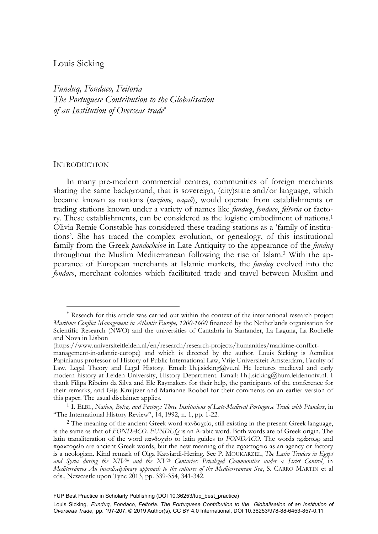# Louis Sicking

*Funduq, Fondaco, Feitoria The Portuguese Contribution to the Globalisation of an Institution of Overseas trade\**

#### INTRODUCTION

-

In many pre-modern commercial centres, communities of foreign merchants sharing the same background, that is sovereign, (city)state and/or language, which became known as nations (*nazione*, *naçaõ*), would operate from establishments or trading stations known under a variety of names like *funduq*, *fondaco*, *feitoria* or factory. These establishments, can be considered as the logistic embodiment of nations.1 Olivia Remie Constable has considered these trading stations as a 'family of institutions'. She has traced the complex evolution, or genealogy, of this institutional family from the Greek *pandocheion* in Late Antiquity to the appearance of the *funduq* throughout the Muslim Mediterranean following the rise of Islam.2 With the appearance of European merchants at Islamic markets, the *funduq* evolved into the *fondaco*, merchant colonies which facilitated trade and travel between Muslim and

Reseach for this article was carried out within the context of the international research project *Maritime Conflict Management in Atlantic Europe, 1200-1600* financed by the Netherlands organisation for Scientific Research (NWO) and the universities of Cantabria in Santander, La Laguna, La Rochelle and Nova in Lisbon

<sup>(</sup>https://www.universiteitleiden.nl/en/research/research-projects/humanities/maritime-conflict-

management-in-atlantic-europe) and which is directed by the author. Louis Sicking is Aemilius Papinianus professor of History of Public International Law, Vrije Universiteit Amsterdam, Faculty of Law, Legal Theory and Legal History. Email: l.h.j.sicking@vu.nl He lectures medieval and early modern history at Leiden University, History Department. Email: l.h.j.sicking@hum.leidenuniv.nl. I thank Filipa Ribeiro da Silva and Ele Raymakers for their help, the participants of the conference for their remarks, and Gijs Kruijtzer and Marianne Roobol for their comments on an earlier version of

<sup>&</sup>lt;sup>1</sup> I. ELBL, *Nation, Bolsa, and Factory: Three Institutions of Late-Medieval Portuguese Trade with Flanders, in*<br>
"The International History Review", 14, 1992, n. 1, pp. 1-22.

<sup>&</sup>lt;sup>2</sup> The meaning of the ancient Greek word πανδοχείο, still existing in the present Greek language, is the same as that of *FONDACO*. *FUNDUQ* is an Arabic word. Both words are of Greek origin. The latin transliteration of the word πανδοχείo to latin guides to *FONDACO*. Τhe words πράκτωρ and πρακτορείο are ancient Greek words, but the new meaning of the πρακτορείο as an agency or factory is a neologism. Kind remark of Olga Katsiardi-Hering. See P. MOUKARZEL, *The Latin Traders in Egypt and Syria during the XIVth and the XVth Centuries: Privileged Communities under a Strict Control*, in *Mediterráneos An interdisciplinary approach to the cultures of the Mediterreanean Sea*, S. CARRO MARTIN et al eds., Newcastle upon Tyne 2013, pp. 339-354, 341-342.

FUP Best Practice in Scholarly Publishing (DOI [10.36253/fup\\_best\\_practice\)](https://doi.org/10.36253/fup_best_practice)

Louis Sicking, Funduq, Fondaco, Feitoria. The Portuguese Contribution to the Globalisation of an Institution of *Overseas Trade,* pp. 197-207, © 2019 Author(s), [CC BY 4.0 International](http://creativecommons.org/licenses/by/4.0/legalcode), DOI [10.36253/978-88-6453-857-0.11](https://doi.org/10.36253/978-88-6453-857-0.11)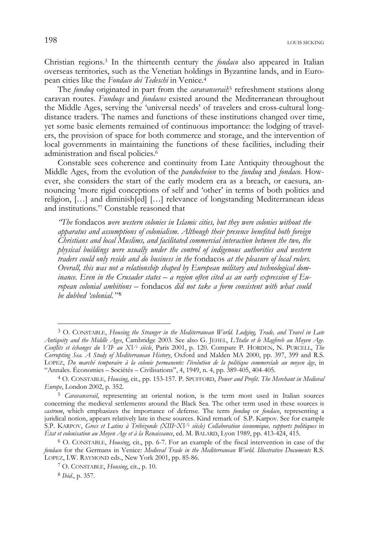198LOUIS SICKING

Christian regions.3 In the thirteenth century the *fondaco* also appeared in Italian overseas territories, such as the Venetian holdings in Byzantine lands, and in European cities like the *Fondaco dei Tedeschi* in Venice.4

The *funduq* originated in part from the *caravanserail*:5 refreshment stations along caravan routes. *Funduqs* and *fondacos* existed around the Mediterranean throughout the Middle Ages, serving the 'universal needs' of travelers and cross-cultural longdistance traders. The names and functions of these institutions changed over time, yet some basic elements remained of continuous importance: the lodging of travelers, the provision of space for both commerce and storage, and the intervention of local governments in maintaining the functions of these facilities, including their administration and fiscal policies.6

Constable sees coherence and continuity from Late Antiquity throughout the Middle Ages, from the evolution of the *pandocheion* to the *funduq* and *fondaco*. However, she considers the start of the early modern era as a breach, or caesura, announcing 'more rigid conceptions of self and 'other' in terms of both politics and religion, […] and diminish[ed] […] relevance of longstanding Mediterranean ideas and institutions.'7 Constable reasoned that

*"The* fondacos *were western colonies in Islamic cities, but they were colonies without the apparatus and assumptions of colonialism. Although their presence benefited both foreign Christians and local Muslims, and facilitated commercial interaction between the two, the physical buildings were usually under the control of indigenous authorities and western traders could only reside and do business in the* fondacos *at the pleasure of local rulers. Overall, this was not a relationship shaped by European military and technological dominance. Even in the Crusader states – a region often cited as an early expression of European colonial ambitions –* fondacos *did not take a form consistent with what could be dubbed 'colonial.'"*<sup>8</sup>

<sup>3</sup> O. CONSTABLE, *Housing the Stranger in the Mediterranean World. Lodging, Trade, and Travel in Late Antiquity and the Middle Ages*, Cambridge 2003. See also G. JEHEL, *L'Italie et le Maghreb au Moyen Age.*  Conflits et échanges du VII<sup>e</sup> au XV<sup>e</sup> siècle, Paris 2001, p. 120. Compare P. HORDEN, N. PURCELL, The *Corrupting Sea. A Study of Mediterranean History*, Oxford and Malden MA 2000, pp. 397, 399 and R.S. LOPEZ, *Du marché temporaire à la colonie permanente: l'évolution de la politique commerciale au moyen âge*, in "Annales. Économies – Sociétés – Civilisations", 4, 1949, n. 4, pp. 389-405, 404-405.

<sup>4</sup> O. CONSTABLE, *Housing*, cit., pp. 153-157. P. SPUFFORD, *Power and Profit. The Merchant in Medieval Europe*, London 2002, p. 352.

<sup>5</sup> *Caravanserail*, representing an oriental notion, is the term most used in Italian sources concerning the medieval settlements around the Black Sea. The other term used in these sources is *castrum*, which emphasizes the importance of defense. The term *funduq* or *fondaco*, representing a juridical notion, appears relatively late in these sources. Kind remark of S.P. Karpov. See for example S.P. KARPOV, *Grecs et Latins à Trébizonde (XIIIe -XVe siècle) Collaboration économique, rapports politiques* in *État et colonisation au Moyen Age et à la Renaissance*, ed. M. BALARD, Lyon 1989, pp. 413-424, 415.

<sup>6</sup> O. CONSTABLE, *Housing*, cit., pp. 6-7. For an example of the fiscal intervention in case of the *fondaco* for the Germans in Venice: *Medieval Trade in the Mediterranean World. Illustrative Documents* R.S. LOPEZ, I.W. RAYMOND eds., New York 2001, pp. 85-86. 7 O. CONSTABLE, *Housing*, cit., p. 10.

<sup>8</sup> *Ibid*., p. 357.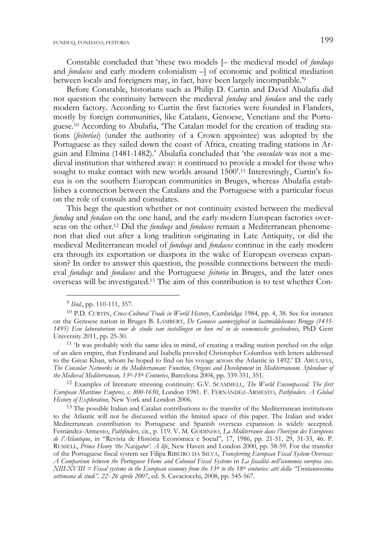Constable concluded that 'these two models [– the medieval model of *funduqs* and *fondacos* and early modern colonialism –] of economic and political mediation between locals and foreigners may, in fact, have been largely incompatible.'9

Before Constable, historians such as Philip D. Curtin and David Abulafia did not question the continuity between the medieval *funduq* and *fondaco* and the early modern factory. According to Curtin the first factories were founded in Flanders, mostly by foreign communities, like Catalans, Genoese, Venetians and the Portuguese.10 According to Abulafia, 'The Catalan model for the creation of trading stations (*feitorías*) (under the authority of a Crown appointee) was adopted by the Portuguese as they sailed down the coast of Africa, creating trading stations in Arguin and Elmina (1481-1482).' Abulafia concluded that 'the *consulate* was not a medieval institution that withered away: it continued to provide a model for those who sought to make contact with new worlds around 1500'.<sup>11</sup> Interestingly, Curtin's focus is on the southern European communities in Bruges, whereas Abulafia establishes a connection between the Catalans and the Portuguese with a particular focus on the role of consuls and consulates.

This begs the question whether or not continuity existed between the medieval *funduq* and *fondaco* on the one hand, and the early modern European factories overseas on the other.12 Did the *funduqs* and *fondacos* remain a Mediterranean phenomenon that died out after a long tradition originating in Late Antiquity, or did the medieval Mediterranean model of *funduqs* and *fondacos* continue in the early modern era through its exportation or diaspora in the wake of European overseas expansion? In order to answer this question, the possible connections between the medieval *funduqs* and *fondacos* and the Portuguese *feitoria* in Bruges, and the later ones overseas will be investigated.13 The aim of this contribution is to test whether Con-

<sup>9</sup> *Ibid*., pp. 110-111, 357.

<sup>10</sup> P.D. CURTIN, *Cross-Cultural Trade in World History*, Cambridge 1984, pp. 4, 38. See for instance on the Genoese nation in Bruges B. LAMBERT, *De Genuese aanwezigheid in laatmiddeleeuws Brugge (1435- 1495) Een laboratorium voor de studie van instellingen en hun rol in de economische geschiedenis*, PhD Gent University 2011, pp. 25-30.<br><sup>11</sup> 'It was probably with the same idea in mind, of creating a trading station perched on the edge

of an alien empire, that Ferdinand and Isabella provided Christopher Columbus with letters addressed to the Great Khan, whom he hoped to find on his voyage across the Atlantic in 1492.' D. ABULAFIA, *The Consular Networks in the Mediterranean: Function, Origins and Development* in *Mediterraneum. Splendour of the Medieval Mediterranean, 13th-15th Centuries*, Barcelona 2004, pp. 339-351, 351. 12 Examples of literature stressing continuity: G.V. SCAMMELL, *The World Encompassed. The first* 

*European Maritime Empires, c. 800-1650*, London 1981. F. FERNÁNDEZ-ARMESTO, *Pathfinders. A Global History of Exploration*, New York and London 2006.

<sup>&</sup>lt;sup>13</sup> The possible Italian and Catalan contributions to the transfer of the Mediterranean institutions to the Atlantic will not be discussed within the limited space of this paper. The Italian and wider Mediterranean contribution to Portuguese and Spanish overseas expansion is widely accepted. Fernández-Armesto, *Pathfinders*, cit., p. 119. V. M. GODINHO, *La Méditerranée dans l'horizon des Européens de l'Atlantique*, in "Revista de História Económica e Social", 17, 1986, pp. 21-51, 29, 31-33, 46. P. RUSSELL, *Prince Henry 'the Navigator'. A life*, New Haven and London 2000, pp. 58-59. For the transfer of the Portuguese fiscal system see Filipa RIBEIRO DA SILVA, *Transferring European Fiscal System Overseas: A Comparison between the Portuguese Home and Colonial Fiscal Systems* in *La fiscalità nell'economia europea secc. XIII-XVIII = Fiscal systems in the European economy from the 13th to the 18th centuries: atti della "Trentanovesima settimana di studi", 22- 26 aprile 2007*, ed. S. Cavaciocchi, 2008, pp. 545-567.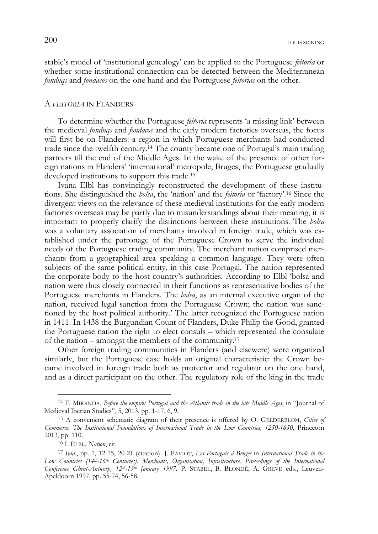stable's model of 'institutional genealogy' can be applied to the Portuguese *feitoria* or whether some institutional connection can be detected between the Mediterranean *funduqs* and *fondacos* on the one hand and the Portuguese *feitorias* on the other.

#### A *FEITORIA* IN FLANDERS

To determine whether the Portuguese *feitoria* represents 'a missing link' between the medieval *funduqs* and *fondacos* and the early modern factories overseas, the focus will first be on Flanders: a region in which Portuguese merchants had conducted trade since the twelfth century.14 The county became one of Portugal's main trading partners till the end of the Middle Ages. In the wake of the presence of other foreign nations in Flanders' 'international' metropole, Bruges, the Portuguese gradually developed institutions to support this trade.15

Ivana Elbl has convincingly reconstructed the development of these institutions. She distinguished the *bolsa*, the 'nation' and the *feitoria* or 'factory'.16 Since the divergent views on the relevance of these medieval institutions for the early modern factories overseas may be partly due to misunderstandings about their meaning, it is important to properly clarify the distinctions between these institutions. The *bolsa* was a voluntary association of merchants involved in foreign trade, which was established under the patronage of the Portuguese Crown to serve the individual needs of the Portuguese trading community. The merchant nation comprised merchants from a geographical area speaking a common language. They were often subjects of the same political entity, in this case Portugal. The nation represented the corporate body to the host country's authorities. According to Elbl 'bolsa and nation were thus closely connected in their functions as representative bodies of the Portuguese merchants in Flanders. The *bolsa*, as an internal executive organ of the nation, received legal sanction from the Portuguese Crown; the nation was sanctioned by the host political authority.' The latter recognized the Portuguese nation in 1411. In 1438 the Burgundian Count of Flanders, Duke Philip the Good, granted the Portuguese nation the right to elect consuls – which represented the consulate of the nation – amongst the members of the community.17

Other foreign trading communities in Flanders (and elsewere) were organized similarly, but the Portuguese case holds an original characteristic: the Crown became involved in foreign trade both as protector and regulator on the one hand, and as a direct participant on the other. The regulatory role of the king in the trade

j

<sup>14</sup> F. MIRANDA, *Before the empire: Portugal and the Atlantic trade in the late Middle Ages*, in "Journal of Medieval Iberian Studies", 5, 2013, pp. 1-17, 6, 9.

<sup>15</sup> A convenient schematic diagram of their presence is offered by O. GELDERBLOM, *Cities of Commerce. The Institutional Foundations of International Trade in the Low Countries, 1250-1650*, Princeton 2013, pp. 110.

<sup>16</sup> I. ELBL, *Nation*, cit.

<sup>17</sup> *Ibid.*, pp. 1, 12-15, 20-21 (citation). J. PAVIOT, *Les Portugais à Bruges* in *International Trade in the Low Countries (14th-16th Centuries). Merchants, Organisation, Infrastructure. Proceedings of the International Conference Ghent-Antwerp, 12th-13th January 1997,* P. STABEL, B. BLONDÉ, A. GREVE eds., Leuven-Apeldoorn 1997, pp. 55-74, 56-58.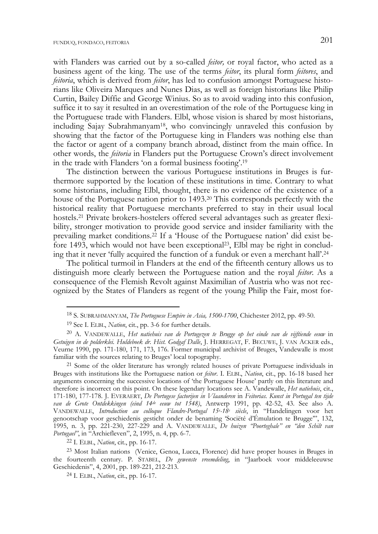with Flanders was carried out by a so-called *feitor,* or royal factor, who acted as a business agent of the king. The use of the terms *feitor*, its plural form *feitores*, and *feitoria*, which is derived from *feitor*, has led to confusion amongst Portuguese historians like Oliveira Marques and Nunes Dias, as well as foreign historians like Philip Curtin, Bailey Diffie and George Winius. So as to avoid wading into this confusion, suffice it to say it resulted in an overestimation of the role of the Portuguese king in the Portuguese trade with Flanders. Elbl, whose vision is shared by most historians, including Sajay Subrahmanyam18, who convincingly unraveled this confusion by showing that the factor of the Portuguese king in Flanders was nothing else than the factor or agent of a company branch abroad, distinct from the main office. In other words, the *feitoria* in Flanders put the Portuguese Crown's direct involvement in the trade with Flanders 'on a formal business footing'.19

The distinction between the various Portuguese institutions in Bruges is furthermore supported by the location of these institutions in time. Contrary to what some historians, including Elbl, thought, there is no evidence of the existence of a house of the Portuguese nation prior to 1493.20 This corresponds perfectly with the historical reality that Portuguese merchants preferred to stay in their usual local hostels.21 Private brokers-hostelers offered several advantages such as greater flexibility, stronger motivation to provide good service and insider familiarity with the prevailing market conditions.22 If a 'House of the Portuguese nation' did exist before 1493, which would not have been exceptional23, Elbl may be right in concluding that it never 'fully acquired the function of a funduk or even a merchant hall'.24

The political turmoil in Flanders at the end of the fifteenth century allows us to distinguish more clearly between the Portuguese nation and the royal *feitor*. As a consequence of the Flemish Revolt against Maximilian of Austria who was not recognized by the States of Flanders as regent of the young Philip the Fair, most for-

<sup>18</sup> S. SUBRAHMANYAM, *The Portuguese Empire in Asia, 1500-1700*, Chichester 2012, pp. 49-50.

<sup>19</sup> See I. ELBL, *Nation*, cit., pp. 3-6 for further details.

<sup>20</sup> A. VANDEWALLE, *Het natiehuis van de Portugezen te Brugge op het einde van de vijftiende eeuw* in *Getuigen in de polderklei. Huldeboek dr. Hist. Godgaf Dalle*, J. HERREGAT, F. BECUWE, J. VAN ACKER eds., Veurne 1990, pp. 171-180, 171, 173, 176. Former municipal archivist of Bruges, Vandewalle is most

<sup>&</sup>lt;sup>21</sup> Some of the older literature has wrongly related houses of private Portuguese individuals in Bruges with institutions like the Portuguese nation or *feitor*. I. ELBL, *Nation*, cit., pp. 16-18 based her arguments concerning the successive locations of 'the Portuguese House' partly on this literature and therefore is incorrect on this point. On these legendary locations see A. Vandewalle, *Het natiehuis*, cit., 171-180, 177-178. J. EVERAERT, *De Portugese factorijen in Vlaanderen* in *Feitorias. Kunst in Portugal ten tijde van de Grote Ontdekkingen (eind 14de eeuw tot 1548)*, Antwerp 1991, pp. 42-52, 43. See also A. VANDEWALLE, *Introduction au colloque Flandre-Portugal 15e -18e siècle*, in "Handelingen voor het genootschap voor geschiedenis gesticht onder de benaming 'Sociëté d'Émulation te Brugge'", 132, 1995, n. 3, pp. 221-230, 227-229 and A. VANDEWALLE, *De huizen "Poorteghale" en "den Schilt van Portugael"*, in "Archiefleven", 2, 1995, n. 4, pp. 6-7. 22 I. ELBL, *Nation*, cit., pp. 16-17.

<sup>23</sup> Most Italian nations (Venice, Genoa, Lucca, Florence) did have proper houses in Bruges in the fourteenth century. P. STABEL, *De gewenste vreemdeling*, in "Jaarboek voor middeleeuwse Geschiedenis", 4, 2001, pp. 189-221, 212-213.

<sup>24</sup> I. ELBL, *Nation*, cit., pp. 16-17.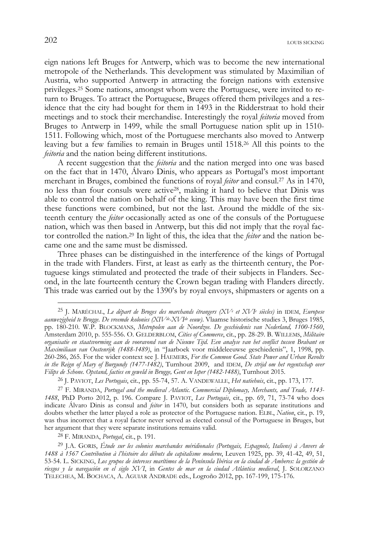eign nations left Bruges for Antwerp, which was to become the new international metropole of the Netherlands. This development was stimulated by Maximilian of Austria, who supported Antwerp in attracting the foreign nations with extensive privileges.25 Some nations, amongst whom were the Portuguese, were invited to return to Bruges. To attract the Portuguese, Bruges offered them privileges and a residence that the city had bought for them in 1493 in the Ridderstraat to hold their meetings and to stock their merchandise. Interestingly the royal *feitoria* moved from Bruges to Antwerp in 1499, while the small Portuguese nation split up in 1510- 1511. Following which, most of the Portuguese merchants also moved to Antwerp leaving but a few families to remain in Bruges until 1518.26 All this points to the *feitoria* and the nation being different institutions.

A recent suggestion that the *feitoria* and the nation merged into one was based on the fact that in 1470, Álvaro Dinis, who appears as Portugal's most important merchant in Bruges, combined the functions of royal *feitor* and consul.27 As in 1470, no less than four consuls were active28, making it hard to believe that Dinis was able to control the nation on behalf of the king. This may have been the first time these functions were combined, but not the last. Around the middle of the sixteenth century the *feitor* occasionally acted as one of the consuls of the Portuguese nation, which was then based in Antwerp, but this did not imply that the royal factor controlled the nation.29 In light of this, the idea that the *feitor* and the nation became one and the same must be dismissed.

Three phases can be distinguished in the interference of the kings of Portugal in the trade with Flanders. First, at least as early as the thirteenth century, the Portuguese kings stimulated and protected the trade of their subjects in Flanders. Second, in the late fourteenth century the Crown began trading with Flanders directly. This trade was carried out by the 1390's by royal envoys, shipmasters or agents on a

j

<sup>25</sup> J. MARÉCHAL, *Le départ de Bruges des marchands étrangers (XVe et XVIe siècles)* in IDEM, *Europese aanwezigheid te Brugge. De vreemde kolonies (XIVde-XVIde eeuw)*. Vlaamse historische studies 3, Bruges 1985, pp. 180-210. W.P. BLOCKMANS, *Metropolen aan de Noordzee. De geschiedenis van Nederland, 1100-1560*, Amsterdam 2010, p. 555-556. O. GELDERBLOM, *Cities of Commerce*, cit., pp. 28-29. B. WILLEMS, *Militaire organisatie en staatsvorming aan de vooravond van de Nieuwe Tijd. Een analyse van het conflict tussen Brabant en Maximiliaan van Oostenrijk (1488-1489)*, in "Jaarboek voor middeleeuwse geschiedenis", 1, 1998, pp. 260-286, 265. For the wider context see J. HAEMERS, *For the Common Good. State Power and Urban Revolts in the Reign of Mary of Burgundy (1477-1482)*, Turnhout 2009, and IDEM, *De strijd om het regentschap over Filips de Schone. Opstand, facties en geweld in Brugge, Gent en Ieper (1482-1488)*, Turnhout 2015.

<sup>26</sup> J. PAVIOT, *Les Portugais*, cit., pp. 55-74, 57. A. VANDEWALLE, *Het natiehuis*, cit., pp. 173, 177.

<sup>27</sup> F. MIRANDA, *Portugal and the medieval Atlantic. Commercial Diplomacy, Merchants, and Trade, 1143- 1488*, PhD Porto 2012, p. 196. Compare J. PAVIOT, *Les Portugais*, cit., pp. 69, 71, 73-74 who does indicate Álvaro Dinis as consul and *feitor* in 1470, but considers both as separate institutions and doubts whether the latter played a role as protector of the Portuguese nation. ELBL, *Nation*, cit., p. 19, was thus incorrect that a royal factor never served as elected consul of the Portuguese in Bruges, but her argument that they were separate institutions remains valid.

<sup>28</sup> F. MIRANDA, *Portugal*, cit., p. 191.

<sup>29</sup> J.A. GORIS, *Étude sur les colonies marchandes méridionales (Portugais, Espagnols, Italiens) à Anvers de 1488 à 1567 Contribution à l'histoire des débuts du capitalisme moderne*, Leuven 1925, pp. 39, 41-42, 49, 51, 53-54. L. SICKING, *Los grupos de intereses marítimos de la Península Ibérica en la ciudad de Amberes: la gestión de riesgos y la navegación en el siglo XVI*, in *Gentes de mar en la ciudad Atlántica medieval*, J. SOLORZANO TELECHEA, M. BOCHACA, A. AGUIAR ANDRADE eds., Logroño 2012, pp. 167-199, 175-176.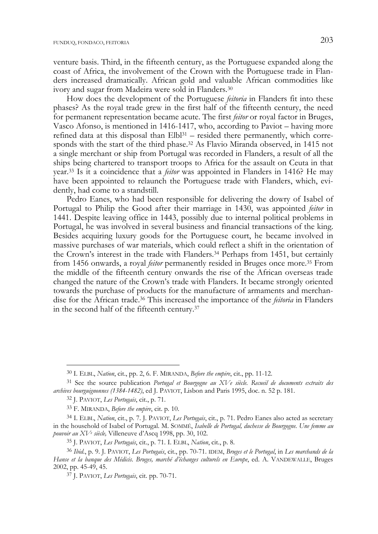venture basis. Third, in the fifteenth century, as the Portuguese expanded along the coast of Africa, the involvement of the Crown with the Portuguese trade in Flanders increased dramatically. African gold and valuable African commodities like ivory and sugar from Madeira were sold in Flanders.30

How does the development of the Portuguese *feitoria* in Flanders fit into these phases? As the royal trade grew in the first half of the fifteenth century, the need for permanent representation became acute. The first *feitor* or royal factor in Bruges, Vasco Afonso, is mentioned in 1416-1417, who, according to Paviot – having more refined data at this disposal than Elbl<sup>31</sup> – resided there permanently, which corresponds with the start of the third phase.32 As Flavio Miranda observed, in 1415 not a single merchant or ship from Portugal was recorded in Flanders, a result of all the ships being chartered to transport troops to Africa for the assault on Ceuta in that year.33 Is it a coincidence that a *feitor* was appointed in Flanders in 1416? He may have been appointed to relaunch the Portuguese trade with Flanders, which, evidently, had come to a standstill.

Pedro Eanes, who had been responsible for delivering the dowry of Isabel of Portugal to Philip the Good after their marriage in 1430, was appointed *feitor* in 1441. Despite leaving office in 1443, possibly due to internal political problems in Portugal, he was involved in several business and financial transactions of the king. Besides acquiring luxury goods for the Portuguese court, he became involved in massive purchases of war materials, which could reflect a shift in the orientation of the Crown's interest in the trade with Flanders.34 Perhaps from 1451, but certainly from 1456 onwards, a royal *feitor* permanently resided in Bruges once more.35 From the middle of the fifteenth century onwards the rise of the African overseas trade changed the nature of the Crown's trade with Flanders. It became strongly oriented towards the purchase of products for the manufacture of armaments and merchandise for the African trade.36 This increased the importance of the *feitoria* in Flanders in the second half of the fifteenth century.37

<sup>30</sup> I. ELBL, *Nation*, cit., pp. 2, 6. F. MIRANDA, *Before the empire*, cit., pp. 11-12.

<sup>31</sup> See the source publication *Portugal et Bourgogne au XVe siècle. Recueil de documents extraits des archives bourguignonnes (1384-1482)*, ed J. PAVIOT, Lisbon and Paris 1995, doc. n. 52 p. 181.

<sup>32</sup> J. PAVIOT, *Les Portugais*, cit., p. 71.

<sup>33</sup> F. MIRANDA, *Before the empire*, cit. p. 10.

<sup>34</sup> I. ELBL, *Nation*, cit., p. 7. J. PAVIOT, *Les Portugais*, cit., p. 71. Pedro Eanes also acted as secretary in the household of Isabel of Portugal. M. SOMMÉ, *Isabelle de Portugal, duchesse de Bourgogne. Une femme au pouvoir au XVe siècle,* Villeneuve d'Ascq 1998, pp. 30, 102.

<sup>35</sup> J. PAVIOT, *Les Portugais*, cit., p. 71. I. ELBL, *Nation*, cit., p. 8.

<sup>36</sup> *Ibid.*, p. 9. J. PAVIOT, *Les Portugais*, cit., pp. 70-71. IDEM, *Bruges et le Portugal*, in *Les marchands de la*  Hanse et la banque des Médicis. Bruges, marché d'échanges culturels en Europe, ed. A. VANDEWALLE, Bruges 2002, pp. 45-49, 45.

<sup>37</sup> J. PAVIOT, *Les Portugais*, cit. pp. 70-71.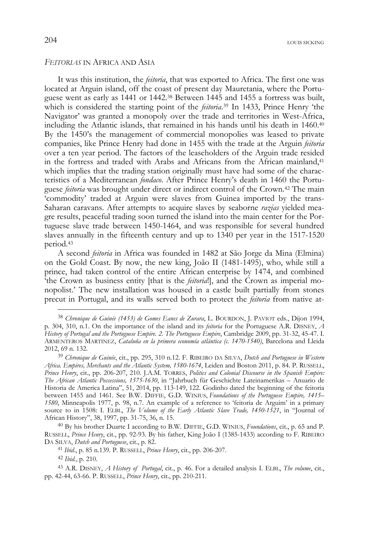## *FEITORIAS* IN AFRICA AND ASIA

It was this institution, the *feitoria*, that was exported to Africa. The first one was located at Arguin island, off the coast of present day Mauretania, where the Portuguese went as early as 1441 or 1442.38 Between 1445 and 1455 a fortress was built, which is considered the starting point of the *feitoria*. 39 In 1433, Prince Henry 'the Navigator' was granted a monopoly over the trade and territories in West-Africa, including the Atlantic islands, that remained in his hands until his death in 1460.40 By the 1450's the management of commercial monopolies was leased to private companies, like Prince Henry had done in 1455 with the trade at the Arguin *feitoria* over a ten year period. The factors of the leaseholders of the Arguin trade resided in the fortress and traded with Arabs and Africans from the African mainland,<sup>41</sup> which implies that the trading station originally must have had some of the characteristics of a Mediterranean *fondaco*. After Prince Henry's death in 1460 the Portuguese *feitoria* was brought under direct or indirect control of the Crown.42 The main 'commodity' traded at Arguin were slaves from Guinea imported by the trans-Saharan caravans. After attempts to acquire slaves by seaborne *razias* yielded meagre results, peaceful trading soon turned the island into the main center for the Portuguese slave trade between 1450-1464, and was responsible for several hundred slaves annually in the fifteenth century and up to 1340 per year in the 1517-1520 period.43

A second *feitoria* in Africa was founded in 1482 at São Jorge da Mina (Elmina) on the Gold Coast. By now, the new king, João II (1481-1495), who, while still a prince, had taken control of the entire African enterprise by 1474, and combined 'the Crown as business entity [that is the *feitoria*!], and the Crown as imperial monopolist.' The new installation was housed in a castle built partially from stones precut in Portugal, and its walls served both to protect the *feitoria* from native at-

<sup>38</sup> *Chronique de Guinée (1453) de Gomes Eanes de Zurara*, L. BOURDON, J. PAVIOT eds., Dijon 1994, p. 304, 310, n.1. On the importance of the island and its *feitoria* for the Portuguese A.R. DISNEY, *A History of Portugal and the Portuguese Empire. 2. The Portuguese Empire*, Cambridge 2009, pp. 31-32, 45-47. I. ARMENTEROS MARTINEZ, *Cataluña en la primera economía atlántica (c. 1470-1540)*, Barcelona and Lleida 2012, 69 n. 132.

<sup>39</sup> *Chronique de Guinée*, cit., pp. 295, 310 n.12. F. RIBEIRO DA SILVA, *Dutch and Portuguese in Western Africa. Empires, Merchants and the Atlantic System, 1580-1674*, Leiden and Boston 2011, p. 84. P. RUSSELL, *Prince Henry*, cit., pp. 206-207, 210. J.A.M. TORRES, *Politics and Colonial Discourse in the Spanish Empire: The African Atlantic Possessions, 1575-1630*, in "Jahrbuch für Geschichte Lateinamerikas – Anuario de Historia de America Latina", 51, 2014, pp. 113-149, 122. Godinho dated the beginning of the feitoria between 1455 and 1461. See B.W. DIFFIE, G.D. WINIUS, *Foundations of the Portuguese Empire, 1415– 1580*, Minneapolis 1977, p. 98, n.7. An example of a reference to 'feitoria de Arguim' in a primary source to in 1508: I. ELBL, *The Volume of the Early Atlantic Slave Trade, 1450-1521*, in "Journal of African History", 38, 1997, pp. 31-75, 36, n. 15.

<sup>40</sup> By his brother Duarte I according to B.W. DIFFIE, G.D. WINIUS, *Foundations*, cit., p. 65 and P. RUSSELL, *Prince Henry*, cit., pp. 92-93. By his father, King João I (1385-1433) according to F. RIBEIRO

<sup>&</sup>lt;sup>41</sup> *Ibid.*, p. 85 n.139. P. RUSSELL, *Prince Henry*, cit., pp. 206-207.

<sup>42</sup> *Ibid.*, p. 210.

<sup>43</sup> A.R. DISNEY, *A History of Portugal*, cit., p. 46. For a detailed analysis I. ELBL, *The volume*, cit., pp. 42-44, 63-66. P. RUSSELL, *Prince Henry*, cit., pp. 210-211.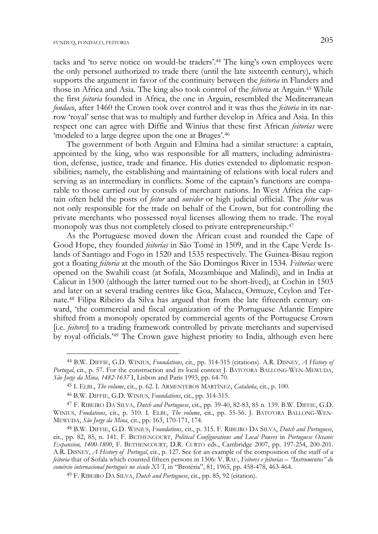j

tacks and 'to serve notice on would-be traders'.44 The king's own employees were the only personel authorized to trade there (until the late sixteenth century), which supports the argument in favor of the continuity between the *feitoria* in Flanders and those in Africa and Asia. The king also took control of the *feitoria* at Arguin.45 While the first *feitoria* founded in Africa, the one in Arguin, resembled the Mediterranean *fondaco*, after 1460 the Crown took over control and it was thus the *feitoria* in its narrow 'royal' sense that was to multiply and further develop in Africa and Asia. In this respect one can agree with Diffie and Winius that these first African *feitorias* were 'modeled to a large degree upon the one at Bruges'.46

The government of both Arguin and Elmina had a similar structure: a captain, appointed by the king, who was responsible for all matters, including administration, defense, justice, trade and finance. His duties extended to diplomatic responsibilities; namely, the establishing and maintaining of relations with local rulers and serving as an intermediary in conflicts. Some of the captain's functions are comparable to those carried out by consuls of merchant nations. In West Africa the captain often held the posts of *feitor* and *ouvidor* or high judicial official. The *feitor* was not only responsible for the trade on behalf of the Crown, but for controlling the private merchants who possessed royal licenses allowing them to trade. The royal monopoly was thus not completely closed to private entrepreneurship.<sup>47</sup>

As the Portuguese moved down the African coast and rounded the Cape of Good Hope, they founded *feitorias* in São Tomé in 1509, and in the Cape Verde Islands of Santiago and Fogo in 1520 and 1535 respectively. The Guinea-Bisau region got a floating *feitoria* at the mouth of the São Domingos River in 1534. *Feitorias* were opened on the Swahili coast (at Sofala, Mozambique and Malindi), and in India at Calicut in 1500 (although the latter turned out to be short-lived), at Cochin in 1503 and later on at several trading centres like Goa, Malacca, Ormuze, Ceylon and Ternate.48 Filipa Ribeiro da Silva has argued that from the late fifteenth century onward, 'the commercial and fiscal organization of the Portuguese Atlantic Empire shifted from a monopoly operated by commercial agents of the Portuguese Crown [i.e. *feitores*] to a trading framework controlled by private merchants and supervised by royal officials.'49 The Crown gave highest priority to India, although even here

<sup>44</sup> B.W. DIFFIE, G.D. WINIUS, *Foundations*, cit., pp. 314-315 (citations). A.R. DISNEY, *A History of Portugal*, cit., p. 57. For the construction and its local context J. BATO'ORA BALLONG-WEN-MEWUDA, *São Jorge da Mina, 1482-1637* I, Lisbon and Paris 1993, pp. 64-70.

<sup>45</sup> I. ELBL, *The volume*, cit., p. 62. I. ARMENTEROS MARTÍNEZ, *Cataluña*, cit., p. 100.

<sup>46</sup> B.W. DIFFIE, G.D. WINIUS, *Foundations*, cit., pp. 314-315.

<sup>47</sup> F. RIBEIRO DA SILVA, *Dutch and Portuguese*, cit., pp. 39-40, 82-83, 85 n. 139. B.W. DIFFIE, G.D. WINIUS, *Foudations*, cit., p. 310. I. ELBL, *The volume*, cit., pp. 55-56. J. BATO'ORA BALLONG-WEN-MEWUDA, *São Jorge da Mina*, cit., pp. 163, 170-171, 174.

<sup>48</sup> B.W. DIFFIE, G.D. WINIUS, *Foundations*, cit., p. 315. F. RIBEIRO DA SILVA, *Dutch and Portuguese*, cit., pp. 82, 85, n. 141. F. BETHENCOURT, *Political Configurations and Local Powers* in *Portuguese Oceanic Expansion, 1400-1800*, F. BETHENCOURT, D.R. CURTO eds., Cambridge 2007, pp. 197-254, 200-201. A.R. DISNEY, *A History of Portugal*, cit., p. 127. See for an example of the composition of the staff of a *feitoria* that of Sofala which counted fifteen persons in 1506: V. RAU, *Feitores e feitorias – "Instrumentos" do comércio internacional portugués no século XVI*, in "Brotéria", 81, 1965, pp. 458-478, 463-464.

<sup>49</sup> F. RIBEIRO DA SILVA, *Dutch and Portuguese*, cit., pp. 85, 92 (citation).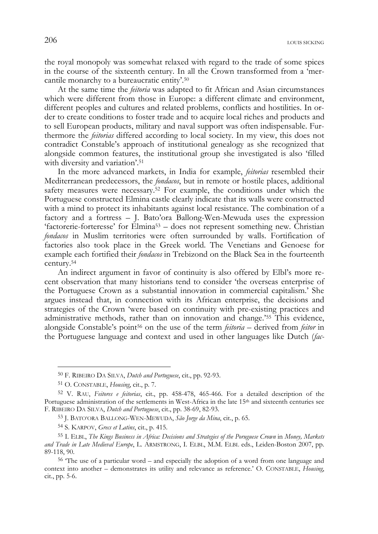the royal monopoly was somewhat relaxed with regard to the trade of some spices in the course of the sixteenth century. In all the Crown transformed from a 'mercantile monarchy to a bureaucratic entity'.50

At the same time the *feitoria* was adapted to fit African and Asian circumstances which were different from those in Europe: a different climate and environment, different peoples and cultures and related problems, conflicts and hostilities. In order to create conditions to foster trade and to acquire local riches and products and to sell European products, military and naval support was often indispensable. Furthermore the *feitorias* differed according to local society. In my view, this does not contradict Constable's approach of institutional genealogy as she recognized that alongside common features, the institutional group she investigated is also 'filled with diversity and variation'.<sup>51</sup>

In the more advanced markets, in India for example, *feitorias* resembled their Mediterranean predecessors, the *fondacos*, but in remote or hostile places, additional safety measures were necessary.52 For example, the conditions under which the Portuguese constructed Elmina castle clearly indicate that its walls were constructed with a mind to protect its inhabitants against local resistance. The combination of a factory and a fortress – J. Bato'ora Ballong-Wen-Mewuda uses the expression 'factorerie-forteresse' for Elmina53 – does not represent something new. Christian *fondacos* in Muslim territories were often surrounded by walls. Fortification of factories also took place in the Greek world. The Venetians and Genoese for example each fortified their *fondacos* in Trebizond on the Black Sea in the fourteenth century.54

An indirect argument in favor of continuity is also offered by Elbl's more recent observation that many historians tend to consider 'the overseas enterprise of the Portuguese Crown as a substantial innovation in commercial capitalism.' She argues instead that, in connection with its African enterprise, the decisions and strategies of the Crown 'were based on continuity with pre-existing practices and administrative methods, rather than on innovation and change.'55 This evidence, alongside Constable's point56 on the use of the term *feitoria* – derived from *feitor* in the Portuguese language and context and used in other languages like Dutch (*fac-*

j

<sup>50</sup> F. RIBEIRO DA SILVA, *Dutch and Portuguese*, cit., pp. 92-93.

<sup>51</sup> O. CONSTABLE, *Housing*, cit., p. 7.

<sup>52</sup> V. RAU, *Feitores e feitorias*, cit., pp. 458-478, 465-466. For a detailed description of the Portuguese administration of the settlements in West-Africa in the late 15<sup>th</sup> and sixteenth centuries see F. RIBEIRO DA SILVA, *Dutch and Portuguese*, cit., pp. 38-69, 82-93.

<sup>53</sup> J. BATO'ORA BALLONG-WEN-MEWUDA, *São Jorge da Mina*, cit., p. 65.

<sup>54</sup> S. KARPOV, *Grecs et Latins*, cit., p. 415.

<sup>55</sup> I. ELBL, *The Kings Business in Africa: Decisions and Strategies of the Poruguese Crown* in *Money, Markets and Trade in Late Medieval Europe*, L. ARMSTRONG, I. ELBL, M.M. ELBL eds., Leiden-Boston 2007, pp. 89-118, 90.

<sup>&</sup>lt;sup>56</sup> The use of a particular word – and especially the adoption of a word from one language and context into another – demonstrates its utility and relevance as reference.' O. CONSTABLE, *Housing*, cit., pp. 5-6.